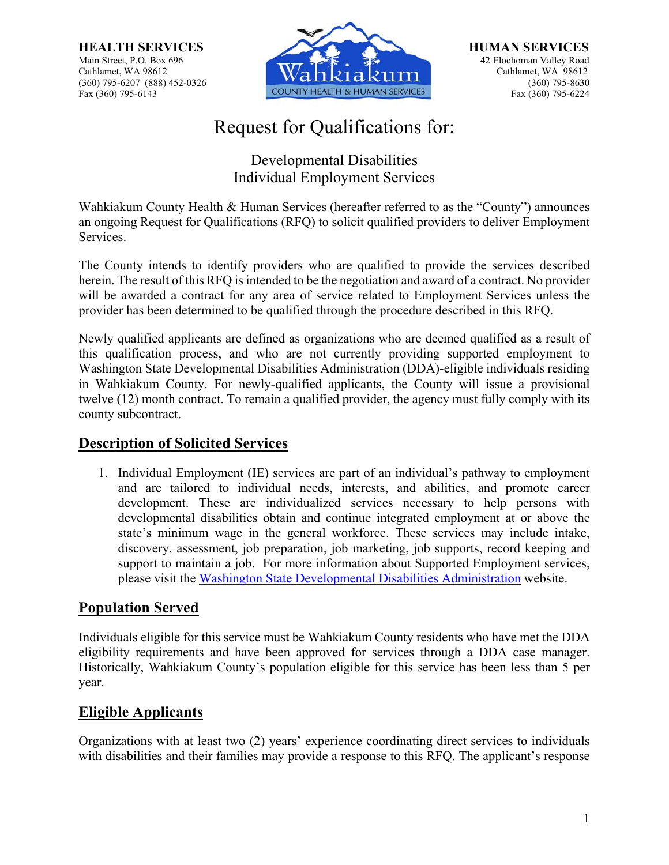

# Request for Qualifications for:

Developmental Disabilities Individual Employment Services

Wahkiakum County Health & Human Services (hereafter referred to as the "County") announces an ongoing Request for Qualifications (RFQ) to solicit qualified providers to deliver Employment Services.

The County intends to identify providers who are qualified to provide the services described herein. The result of this RFQ is intended to be the negotiation and award of a contract. No provider will be awarded a contract for any area of service related to Employment Services unless the provider has been determined to be qualified through the procedure described in this RFQ.

Newly qualified applicants are defined as organizations who are deemed qualified as a result of this qualification process, and who are not currently providing supported employment to Washington State Developmental Disabilities Administration (DDA)-eligible individuals residing in Wahkiakum County. For newly-qualified applicants, the County will issue a provisional twelve (12) month contract. To remain a qualified provider, the agency must fully comply with its county subcontract.

## **Description of Solicited Services**

1. Individual Employment (IE) services are part of an individual's pathway to employment and are tailored to individual needs, interests, and abilities, and promote career development. These are individualized services necessary to help persons with developmental disabilities obtain and continue integrated employment at or above the state's minimum wage in the general workforce. These services may include intake, discovery, assessment, job preparation, job marketing, job supports, record keeping and support to maintain a job. For more information about Supported Employment services, please visit the Washington State Developmental Disabilities Administration website.

## **Population Served**

Individuals eligible for this service must be Wahkiakum County residents who have met the DDA eligibility requirements and have been approved for services through a DDA case manager. Historically, Wahkiakum County's population eligible for this service has been less than 5 per year.

## **Eligible Applicants**

Organizations with at least two (2) years' experience coordinating direct services to individuals with disabilities and their families may provide a response to this RFQ. The applicant's response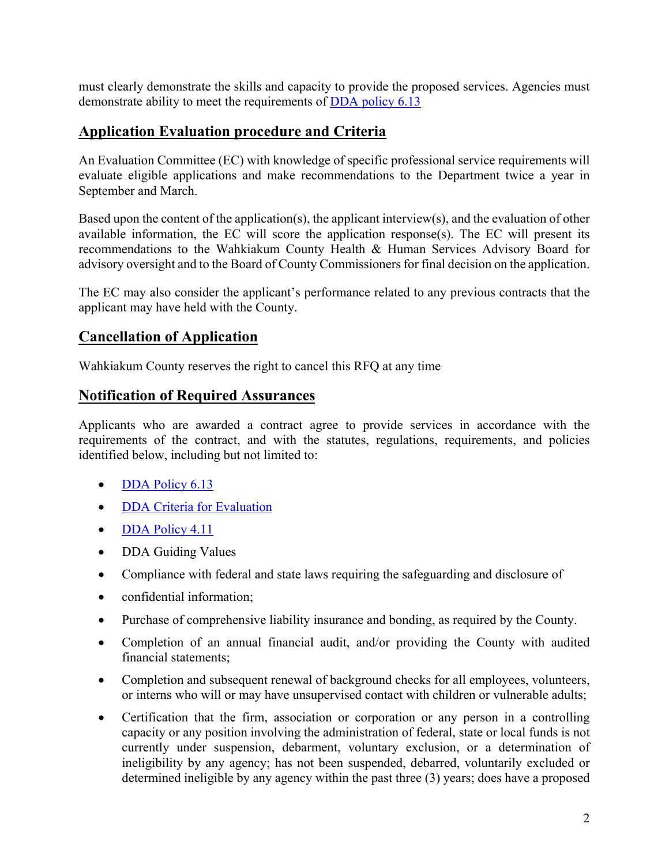must clearly demonstrate the skills and capacity to provide the proposed services. Agencies must demonstrate ability to meet the requirements of DDA policy 6.13

## **Application Evaluation procedure and Criteria**

An Evaluation Committee (EC) with knowledge of specific professional service requirements will evaluate eligible applications and make recommendations to the Department twice a year in September and March.

Based upon the content of the application(s), the applicant interview(s), and the evaluation of other available information, the EC will score the application response(s). The EC will present its recommendations to the Wahkiakum County Health & Human Services Advisory Board for advisory oversight and to the Board of County Commissioners for final decision on the application.

The EC may also consider the applicant's performance related to any previous contracts that the applicant may have held with the County.

### **Cancellation of Application**

Wahkiakum County reserves the right to cancel this RFQ at any time

### **Notification of Required Assurances**

Applicants who are awarded a contract agree to provide services in accordance with the requirements of the contract, and with the statutes, regulations, requirements, and policies identified below, including but not limited to:

- DDA Policy 6.13
- DDA Criteria for Evaluation
- DDA Policy 4.11
- DDA Guiding Values
- Compliance with federal and state laws requiring the safeguarding and disclosure of
- confidential information:
- Purchase of comprehensive liability insurance and bonding, as required by the County.
- Completion of an annual financial audit, and/or providing the County with audited financial statements;
- Completion and subsequent renewal of background checks for all employees, volunteers, or interns who will or may have unsupervised contact with children or vulnerable adults;
- Certification that the firm, association or corporation or any person in a controlling capacity or any position involving the administration of federal, state or local funds is not currently under suspension, debarment, voluntary exclusion, or a determination of ineligibility by any agency; has not been suspended, debarred, voluntarily excluded or determined ineligible by any agency within the past three (3) years; does have a proposed